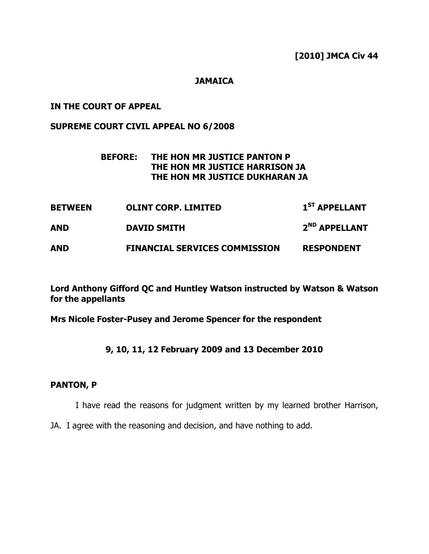### **JAMAICA**

#### IN THE COURT OF APPEAL

#### SUPREME COURT CIVIL APPEAL NO 6/2008

# BEFORE: THE HON MR JUSTICE PANTON P THE HON MR JUSTICE HARRISON JA THE HON MR JUSTICE DUKHARAN JA

BETWEEN OLINT CORP. LIMITED 1<sup>ST</sup> APPELLANT AND DAVID SMITH 2<sup>ND</sup> APPELLANT AND FINANCIAL SERVICES COMMISSION RESPONDENT

Lord Anthony Gifford QC and Huntley Watson instructed by Watson & Watson for the appellants

Mrs Nicole Foster-Pusey and Jerome Spencer for the respondent

#### 9, 10, 11, 12 February 2009 and 13 December 2010

#### PANTON, P

I have read the reasons for judgment written by my learned brother Harrison,

JA. I agree with the reasoning and decision, and have nothing to add.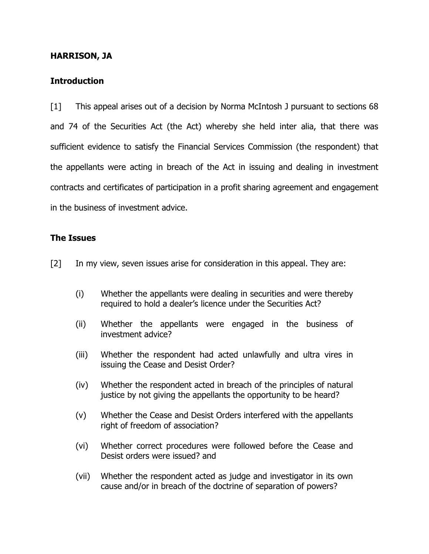## HARRISON, JA

# **Introduction**

[1] This appeal arises out of a decision by Norma McIntosh J pursuant to sections 68 and 74 of the Securities Act (the Act) whereby she held inter alia, that there was sufficient evidence to satisfy the Financial Services Commission (the respondent) that the appellants were acting in breach of the Act in issuing and dealing in investment contracts and certificates of participation in a profit sharing agreement and engagement in the business of investment advice.

## The Issues

- [2] In my view, seven issues arise for consideration in this appeal. They are:
	- (i) Whether the appellants were dealing in securities and were thereby required to hold a dealer's licence under the Securities Act?
	- (ii) Whether the appellants were engaged in the business of investment advice?
	- (iii) Whether the respondent had acted unlawfully and ultra vires in issuing the Cease and Desist Order?
	- (iv) Whether the respondent acted in breach of the principles of natural justice by not giving the appellants the opportunity to be heard?
	- (v) Whether the Cease and Desist Orders interfered with the appellants right of freedom of association?
	- (vi) Whether correct procedures were followed before the Cease and Desist orders were issued? and
	- (vii) Whether the respondent acted as judge and investigator in its own cause and/or in breach of the doctrine of separation of powers?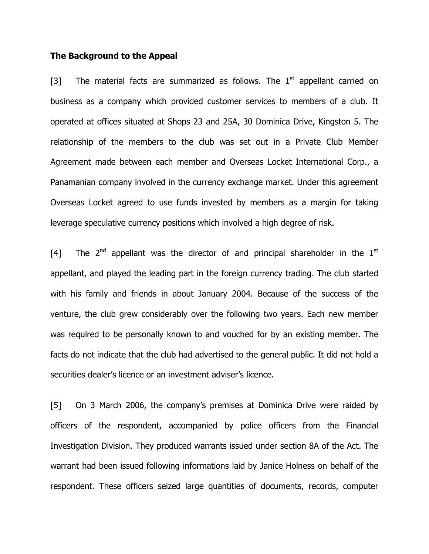#### The Background to the Appeal

[3] The material facts are summarized as follows. The  $1<sup>st</sup>$  appellant carried on business as a company which provided customer services to members of a club. It operated at offices situated at Shops 23 and 25A, 30 Dominica Drive, Kingston 5. The relationship of the members to the club was set out in a Private Club Member Agreement made between each member and Overseas Locket International Corp., a Panamanian company involved in the currency exchange market. Under this agreement Overseas Locket agreed to use funds invested by members as a margin for taking leverage speculative currency positions which involved a high degree of risk.

[4] The  $2<sup>nd</sup>$  appellant was the director of and principal shareholder in the  $1<sup>st</sup>$ appellant, and played the leading part in the foreign currency trading. The club started with his family and friends in about January 2004. Because of the success of the venture, the club grew considerably over the following two years. Each new member was required to be personally known to and vouched for by an existing member. The facts do not indicate that the club had advertised to the general public. It did not hold a securities dealer's licence or an investment adviser's licence.

[5] On 3 March 2006, the company's premises at Dominica Drive were raided by officers of the respondent, accompanied by police officers from the Financial Investigation Division. They produced warrants issued under section 8A of the Act. The warrant had been issued following informations laid by Janice Holness on behalf of the respondent. These officers seized large quantities of documents, records, computer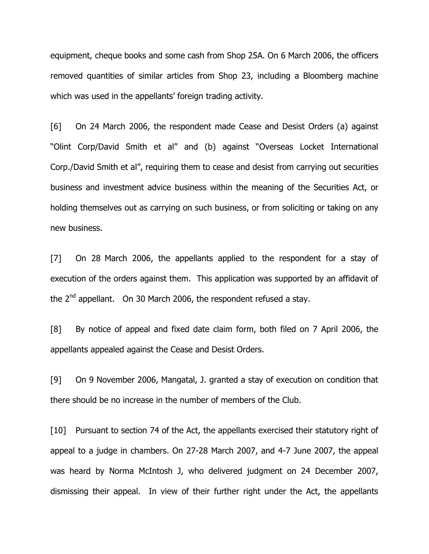equipment, cheque books and some cash from Shop 25A. On 6 March 2006, the officers removed quantities of similar articles from Shop 23, including a Bloomberg machine which was used in the appellants' foreign trading activity.

[6] On 24 March 2006, the respondent made Cease and Desist Orders (a) against "Olint Corp/David Smith et al" and (b) against "Overseas Locket International Corp./David Smith et al", requiring them to cease and desist from carrying out securities business and investment advice business within the meaning of the Securities Act, or holding themselves out as carrying on such business, or from soliciting or taking on any new business.

[7] On 28 March 2006, the appellants applied to the respondent for a stay of execution of the orders against them. This application was supported by an affidavit of the 2<sup>nd</sup> appellant. On 30 March 2006, the respondent refused a stay.

[8] By notice of appeal and fixed date claim form, both filed on 7 April 2006, the appellants appealed against the Cease and Desist Orders.

[9] On 9 November 2006, Mangatal, J. granted a stay of execution on condition that there should be no increase in the number of members of the Club.

[10] Pursuant to section 74 of the Act, the appellants exercised their statutory right of appeal to a judge in chambers. On 27-28 March 2007, and 4-7 June 2007, the appeal was heard by Norma McIntosh J, who delivered judgment on 24 December 2007, dismissing their appeal. In view of their further right under the Act, the appellants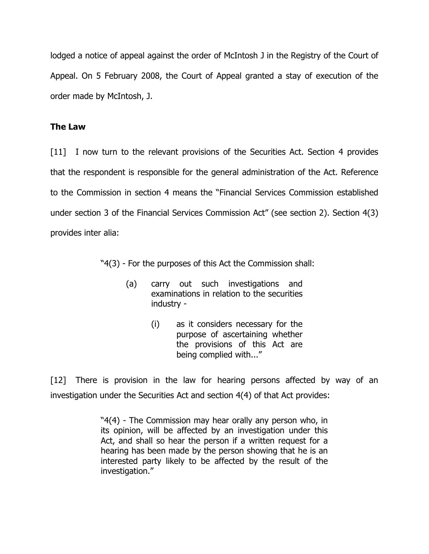lodged a notice of appeal against the order of McIntosh J in the Registry of the Court of Appeal. On 5 February 2008, the Court of Appeal granted a stay of execution of the order made by McIntosh, J.

# The Law

[11] I now turn to the relevant provisions of the Securities Act. Section 4 provides that the respondent is responsible for the general administration of the Act. Reference to the Commission in section 4 means the "Financial Services Commission established under section 3 of the Financial Services Commission Act" (see section 2). Section 4(3) provides inter alia:

"4(3) - For the purposes of this Act the Commission shall:

- (a) carry out such investigations and examinations in relation to the securities industry -
	- (i) as it considers necessary for the purpose of ascertaining whether the provisions of this Act are being complied with..."

[12] There is provision in the law for hearing persons affected by way of an investigation under the Securities Act and section 4(4) of that Act provides:

> "4(4) - The Commission may hear orally any person who, in its opinion, will be affected by an investigation under this Act, and shall so hear the person if a written request for a hearing has been made by the person showing that he is an interested party likely to be affected by the result of the investigation."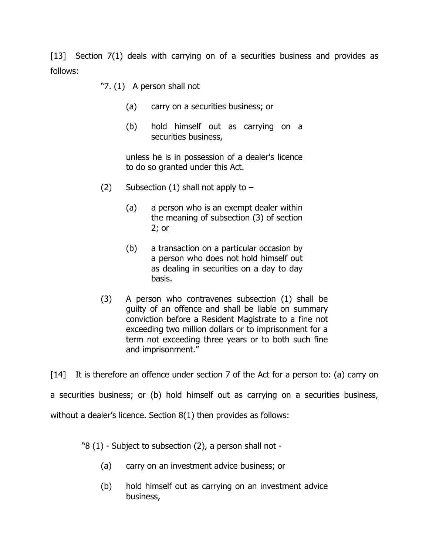[13] Section 7(1) deals with carrying on of a securities business and provides as follows:

"7. (1) A person shall not

- (a) carry on a securities business; or
- (b) hold himself out as carrying on a securities business,

unless he is in possession of a dealer's licence to do so granted under this Act.

- (2) Subsection (1) shall not apply to  $-$ 
	- (a) a person who is an exempt dealer within the meaning of subsection (3) of section 2; or
	- (b) a transaction on a particular occasion by a person who does not hold himself out as dealing in securities on a day to day basis.
- (3) A person who contravenes subsection (1) shall be guilty of an offence and shall be liable on summary conviction before a Resident Magistrate to a fine not exceeding two million dollars or to imprisonment for a term not exceeding three years or to both such fine and imprisonment."

[14] It is therefore an offence under section 7 of the Act for a person to: (a) carry on a securities business; or (b) hold himself out as carrying on a securities business, without a dealer's licence. Section 8(1) then provides as follows:

"8 (1) - Subject to subsection (2), a person shall not -

- (a) carry on an investment advice business; or
- (b) hold himself out as carrying on an investment advice business,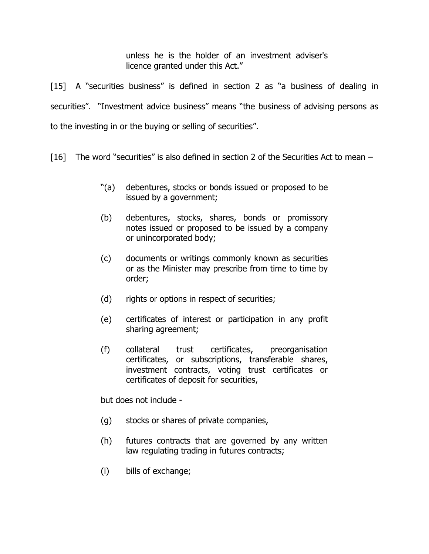unless he is the holder of an investment adviser's licence granted under this Act."

[15] A "securities business" is defined in section 2 as "a business of dealing in securities". "Investment advice business" means "the business of advising persons as to the investing in or the buying or selling of securities".

[16] The word "securities" is also defined in section 2 of the Securities Act to mean  $-$ 

- "(a) debentures, stocks or bonds issued or proposed to be issued by a government;
- (b) debentures, stocks, shares, bonds or promissory notes issued or proposed to be issued by a company or unincorporated body;
- (c) documents or writings commonly known as securities or as the Minister may prescribe from time to time by order;
- (d) rights or options in respect of securities;
- (e) certificates of interest or participation in any profit sharing agreement;
- (f) collateral trust certificates, preorganisation certificates, or subscriptions, transferable shares, investment contracts, voting trust certificates or certificates of deposit for securities,

but does not include -

- (g) stocks or shares of private companies,
- (h) futures contracts that are governed by any written law regulating trading in futures contracts;
- (i) bills of exchange;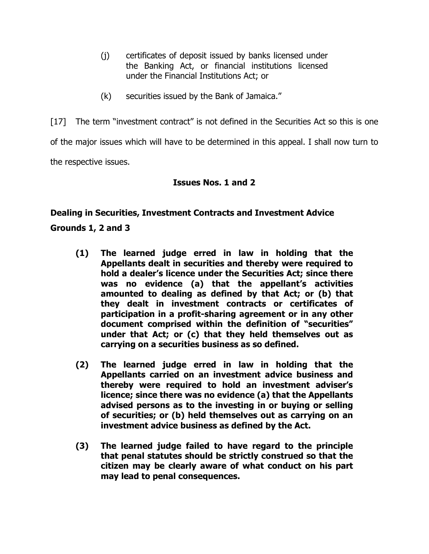- (j) certificates of deposit issued by banks licensed under the Banking Act, or financial institutions licensed under the Financial Institutions Act; or
- (k) securities issued by the Bank of Jamaica."

[17] The term "investment contract" is not defined in the Securities Act so this is one of the major issues which will have to be determined in this appeal. I shall now turn to the respective issues.

# Issues Nos. 1 and 2

Dealing in Securities, Investment Contracts and Investment Advice Grounds 1, 2 and 3

- (1) The learned judge erred in law in holding that the Appellants dealt in securities and thereby were required to hold a dealer's licence under the Securities Act; since there was no evidence (a) that the appellant's activities amounted to dealing as defined by that Act; or (b) that they dealt in investment contracts or certificates of participation in a profit-sharing agreement or in any other document comprised within the definition of "securities" under that Act; or (c) that they held themselves out as carrying on a securities business as so defined.
- (2) The learned judge erred in law in holding that the Appellants carried on an investment advice business and thereby were required to hold an investment adviser's licence; since there was no evidence (a) that the Appellants advised persons as to the investing in or buying or selling of securities; or (b) held themselves out as carrying on an investment advice business as defined by the Act.
- (3) The learned judge failed to have regard to the principle that penal statutes should be strictly construed so that the citizen may be clearly aware of what conduct on his part may lead to penal consequences.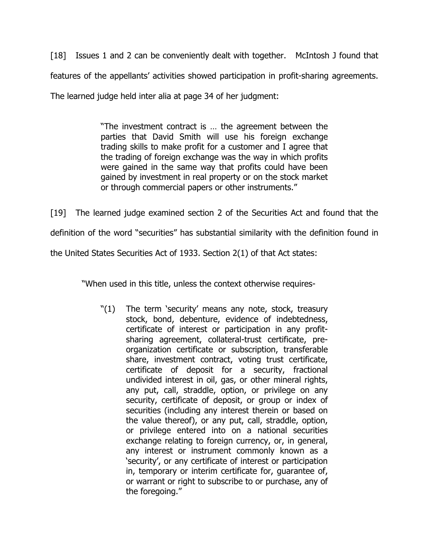[18] Issues 1 and 2 can be conveniently dealt with together. McIntosh J found that features of the appellants' activities showed participation in profit-sharing agreements. The learned judge held inter alia at page 34 of her judgment:

> "The investment contract is … the agreement between the parties that David Smith will use his foreign exchange trading skills to make profit for a customer and I agree that the trading of foreign exchange was the way in which profits were gained in the same way that profits could have been gained by investment in real property or on the stock market or through commercial papers or other instruments."

[19] The learned judge examined section 2 of the Securities Act and found that the definition of the word "securities" has substantial similarity with the definition found in the United States Securities Act of 1933. Section 2(1) of that Act states:

"When used in this title, unless the context otherwise requires-

"(1) The term 'security' means any note, stock, treasury stock, bond, debenture, evidence of indebtedness, certificate of interest or participation in any profitsharing agreement, collateral-trust certificate, preorganization certificate or subscription, transferable share, investment contract, voting trust certificate, certificate of deposit for a security, fractional undivided interest in oil, gas, or other mineral rights, any put, call, straddle, option, or privilege on any security, certificate of deposit, or group or index of securities (including any interest therein or based on the value thereof), or any put, call, straddle, option, or privilege entered into on a national securities exchange relating to foreign currency, or, in general, any interest or instrument commonly known as a 'security', or any certificate of interest or participation in, temporary or interim certificate for, guarantee of, or warrant or right to subscribe to or purchase, any of the foregoing."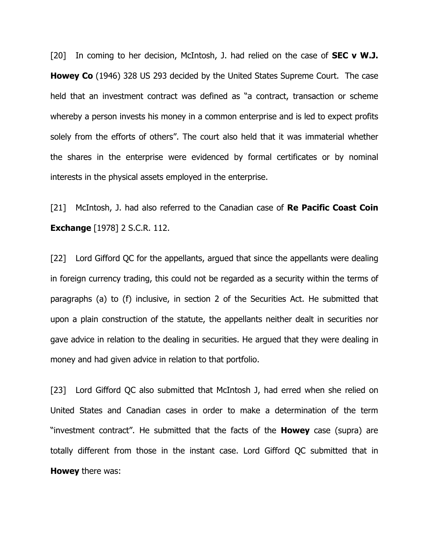[20] In coming to her decision, McIntosh, J. had relied on the case of **SEC v W.J. Howey Co** (1946) 328 US 293 decided by the United States Supreme Court. The case held that an investment contract was defined as "a contract, transaction or scheme whereby a person invests his money in a common enterprise and is led to expect profits solely from the efforts of others". The court also held that it was immaterial whether the shares in the enterprise were evidenced by formal certificates or by nominal interests in the physical assets employed in the enterprise.

[21] McIntosh, J. had also referred to the Canadian case of Re Pacific Coast Coin Exchange [1978] 2 S.C.R. 112.

[22] Lord Gifford QC for the appellants, argued that since the appellants were dealing in foreign currency trading, this could not be regarded as a security within the terms of paragraphs (a) to (f) inclusive, in section 2 of the Securities Act. He submitted that upon a plain construction of the statute, the appellants neither dealt in securities nor gave advice in relation to the dealing in securities. He argued that they were dealing in money and had given advice in relation to that portfolio.

[23] Lord Gifford QC also submitted that McIntosh J, had erred when she relied on United States and Canadian cases in order to make a determination of the term "investment contract". He submitted that the facts of the **Howey** case (supra) are totally different from those in the instant case. Lord Gifford QC submitted that in **Howey** there was: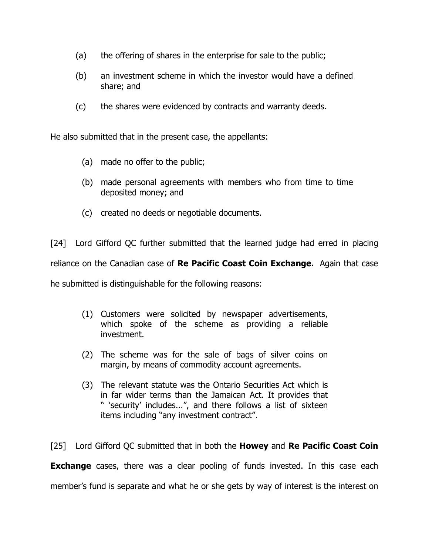- (a) the offering of shares in the enterprise for sale to the public;
- (b) an investment scheme in which the investor would have a defined share; and
- (c) the shares were evidenced by contracts and warranty deeds.

He also submitted that in the present case, the appellants:

- (a) made no offer to the public;
- (b) made personal agreements with members who from time to time deposited money; and
- (c) created no deeds or negotiable documents.

[24] Lord Gifford QC further submitted that the learned judge had erred in placing reliance on the Canadian case of Re Pacific Coast Coin Exchange. Again that case he submitted is distinguishable for the following reasons:

- (1) Customers were solicited by newspaper advertisements, which spoke of the scheme as providing a reliable investment.
- (2) The scheme was for the sale of bags of silver coins on margin, by means of commodity account agreements.
- (3) The relevant statute was the Ontario Securities Act which is in far wider terms than the Jamaican Act. It provides that " 'security' includes...", and there follows a list of sixteen items including "any investment contract".

[25] Lord Gifford QC submitted that in both the **Howey** and **Re Pacific Coast Coin Exchange** cases, there was a clear pooling of funds invested. In this case each member's fund is separate and what he or she gets by way of interest is the interest on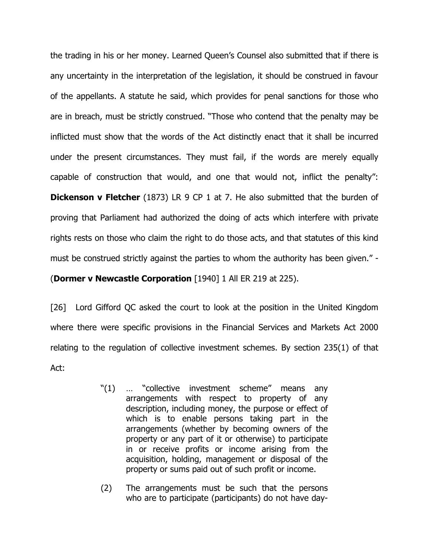the trading in his or her money. Learned Queen's Counsel also submitted that if there is any uncertainty in the interpretation of the legislation, it should be construed in favour of the appellants. A statute he said, which provides for penal sanctions for those who are in breach, must be strictly construed. "Those who contend that the penalty may be inflicted must show that the words of the Act distinctly enact that it shall be incurred under the present circumstances. They must fail, if the words are merely equally capable of construction that would, and one that would not, inflict the penalty": **Dickenson v Fletcher** (1873) LR 9 CP 1 at 7. He also submitted that the burden of proving that Parliament had authorized the doing of acts which interfere with private rights rests on those who claim the right to do those acts, and that statutes of this kind must be construed strictly against the parties to whom the authority has been given." -

(Dormer v Newcastle Corporation [1940] 1 All ER 219 at 225).

[26] Lord Gifford QC asked the court to look at the position in the United Kingdom where there were specific provisions in the Financial Services and Markets Act 2000 relating to the regulation of collective investment schemes. By section 235(1) of that Act:

- "(1) … "collective investment scheme" means any arrangements with respect to property of any description, including money, the purpose or effect of which is to enable persons taking part in the arrangements (whether by becoming owners of the property or any part of it or otherwise) to participate in or receive profits or income arising from the acquisition, holding, management or disposal of the property or sums paid out of such profit or income.
- (2) The arrangements must be such that the persons who are to participate (participants) do not have day-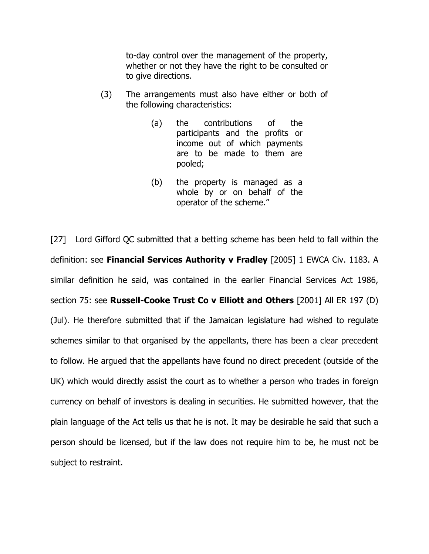to-day control over the management of the property, whether or not they have the right to be consulted or to give directions.

- (3) The arrangements must also have either or both of the following characteristics:
	- (a) the contributions of the participants and the profits or income out of which payments are to be made to them are pooled;
	- (b) the property is managed as a whole by or on behalf of the operator of the scheme."

[27] Lord Gifford QC submitted that a betting scheme has been held to fall within the definition: see Financial Services Authority v Fradley [2005] 1 EWCA Civ. 1183. A similar definition he said, was contained in the earlier Financial Services Act 1986, section 75: see Russell-Cooke Trust Co v Elliott and Others [2001] All ER 197 (D) (Jul). He therefore submitted that if the Jamaican legislature had wished to regulate schemes similar to that organised by the appellants, there has been a clear precedent to follow. He argued that the appellants have found no direct precedent (outside of the UK) which would directly assist the court as to whether a person who trades in foreign currency on behalf of investors is dealing in securities. He submitted however, that the plain language of the Act tells us that he is not. It may be desirable he said that such a person should be licensed, but if the law does not require him to be, he must not be subject to restraint.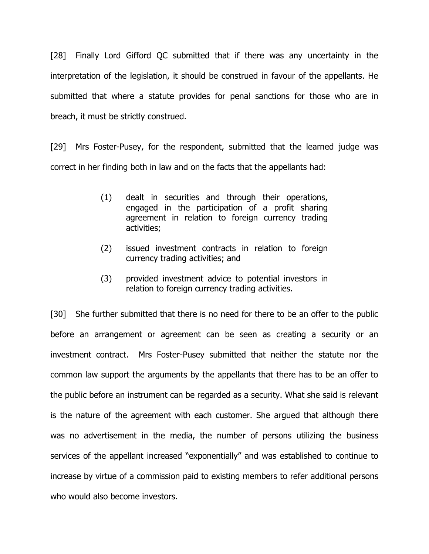[28] Finally Lord Gifford QC submitted that if there was any uncertainty in the interpretation of the legislation, it should be construed in favour of the appellants. He submitted that where a statute provides for penal sanctions for those who are in breach, it must be strictly construed.

[29] Mrs Foster-Pusey, for the respondent, submitted that the learned judge was correct in her finding both in law and on the facts that the appellants had:

- (1) dealt in securities and through their operations, engaged in the participation of a profit sharing agreement in relation to foreign currency trading activities;
- (2) issued investment contracts in relation to foreign currency trading activities; and
- (3) provided investment advice to potential investors in relation to foreign currency trading activities.

[30] She further submitted that there is no need for there to be an offer to the public before an arrangement or agreement can be seen as creating a security or an investment contract. Mrs Foster-Pusey submitted that neither the statute nor the common law support the arguments by the appellants that there has to be an offer to the public before an instrument can be regarded as a security. What she said is relevant is the nature of the agreement with each customer. She argued that although there was no advertisement in the media, the number of persons utilizing the business services of the appellant increased "exponentially" and was established to continue to increase by virtue of a commission paid to existing members to refer additional persons who would also become investors.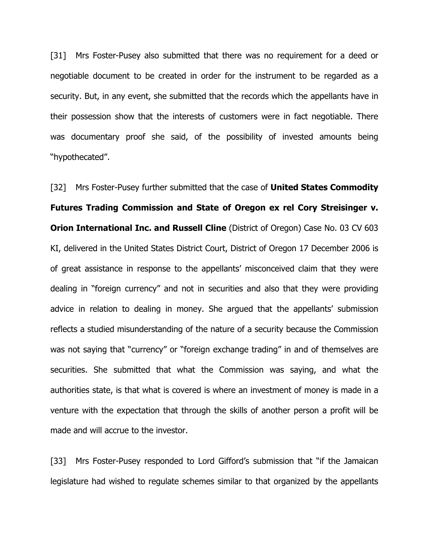[31] Mrs Foster-Pusey also submitted that there was no requirement for a deed or negotiable document to be created in order for the instrument to be regarded as a security. But, in any event, she submitted that the records which the appellants have in their possession show that the interests of customers were in fact negotiable. There was documentary proof she said, of the possibility of invested amounts being "hypothecated".

[32] Mrs Foster-Pusey further submitted that the case of **United States Commodity** Futures Trading Commission and State of Oregon ex rel Cory Streisinger v. **Orion International Inc. and Russell Cline** (District of Oregon) Case No. 03 CV 603 KI, delivered in the United States District Court, District of Oregon 17 December 2006 is of great assistance in response to the appellants' misconceived claim that they were dealing in "foreign currency" and not in securities and also that they were providing advice in relation to dealing in money. She argued that the appellants' submission reflects a studied misunderstanding of the nature of a security because the Commission was not saying that "currency" or "foreign exchange trading" in and of themselves are securities. She submitted that what the Commission was saying, and what the authorities state, is that what is covered is where an investment of money is made in a venture with the expectation that through the skills of another person a profit will be made and will accrue to the investor.

[33] Mrs Foster-Pusey responded to Lord Gifford's submission that "if the Jamaican legislature had wished to regulate schemes similar to that organized by the appellants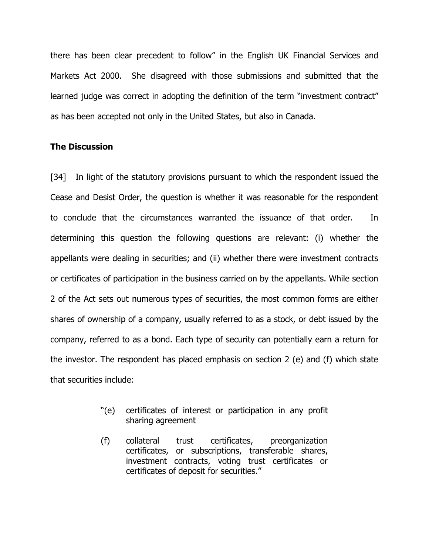there has been clear precedent to follow" in the English UK Financial Services and Markets Act 2000. She disagreed with those submissions and submitted that the learned judge was correct in adopting the definition of the term "investment contract" as has been accepted not only in the United States, but also in Canada.

### The Discussion

[34] In light of the statutory provisions pursuant to which the respondent issued the Cease and Desist Order, the question is whether it was reasonable for the respondent to conclude that the circumstances warranted the issuance of that order. In determining this question the following questions are relevant: (i) whether the appellants were dealing in securities; and (ii) whether there were investment contracts or certificates of participation in the business carried on by the appellants. While section 2 of the Act sets out numerous types of securities, the most common forms are either shares of ownership of a company, usually referred to as a stock, or debt issued by the company, referred to as a bond. Each type of security can potentially earn a return for the investor. The respondent has placed emphasis on section 2 (e) and (f) which state that securities include:

- "(e) certificates of interest or participation in any profit sharing agreement
- (f) collateral trust certificates, preorganization certificates, or subscriptions, transferable shares, investment contracts, voting trust certificates or certificates of deposit for securities."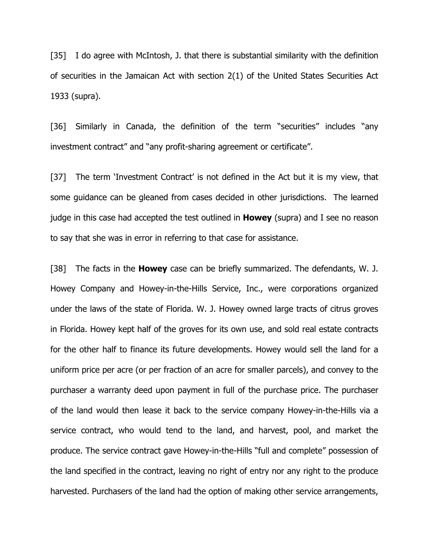[35] I do agree with McIntosh, J. that there is substantial similarity with the definition of securities in the Jamaican Act with section 2(1) of the United States Securities Act 1933 (supra).

[36] Similarly in Canada, the definition of the term "securities" includes "any investment contract" and "any profit-sharing agreement or certificate".

[37] The term 'Investment Contract' is not defined in the Act but it is my view, that some guidance can be gleaned from cases decided in other jurisdictions. The learned judge in this case had accepted the test outlined in **Howey** (supra) and I see no reason to say that she was in error in referring to that case for assistance.

[38] The facts in the **Howey** case can be briefly summarized. The defendants, W. J. Howey Company and Howey-in-the-Hills Service, Inc., were corporations organized under the laws of the state of Florida. W. J. Howey owned large tracts of citrus groves in Florida. Howey kept half of the groves for its own use, and sold real estate contracts for the other half to finance its future developments. Howey would sell the land for a uniform price per acre (or per fraction of an acre for smaller parcels), and convey to the purchaser a warranty deed upon payment in full of the purchase price. The purchaser of the land would then lease it back to the service company Howey-in-the-Hills via a service contract, who would tend to the land, and harvest, pool, and market the produce. The service contract gave Howey-in-the-Hills "full and complete" possession of the land specified in the contract, leaving no right of entry nor any right to the produce harvested. Purchasers of the land had the option of making other service arrangements,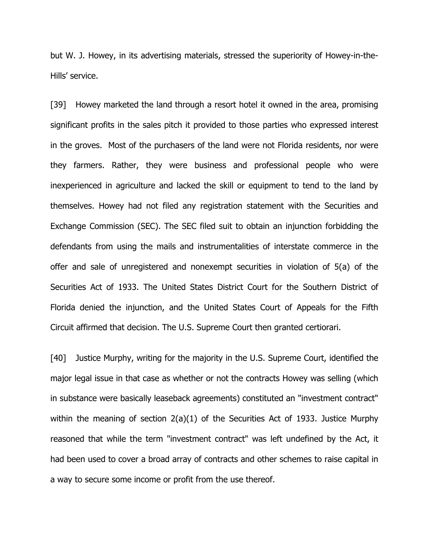but W. J. Howey, in its advertising materials, stressed the superiority of Howey-in-the-Hills' service.

[39] Howey marketed the land through a resort hotel it owned in the area, promising significant profits in the sales pitch it provided to those parties who expressed interest in the groves. Most of the purchasers of the land were not Florida residents, nor were they farmers. Rather, they were business and professional people who were inexperienced in agriculture and lacked the skill or equipment to tend to the land by themselves. Howey had not filed any registration statement with the Securities and Exchange Commission (SEC). The SEC filed suit to obtain an injunction forbidding the defendants from using the mails and instrumentalities of interstate commerce in the offer and sale of unregistered and nonexempt securities in violation of 5(a) of the Securities Act of 1933. The United States District Court for the Southern District of Florida denied the injunction, and the United States Court of Appeals for the Fifth Circuit affirmed that decision. The U.S. Supreme Court then granted certiorari.

[40] Justice Murphy, writing for the majority in the U.S. Supreme Court, identified the major legal issue in that case as whether or not the contracts Howey was selling (which in substance were basically leaseback agreements) constituted an "investment contract" within the meaning of section 2(a)(1) of the Securities Act of 1933. Justice Murphy reasoned that while the term "investment contract" was left undefined by the Act, it had been used to cover a broad array of contracts and other schemes to raise capital in a way to secure some income or profit from the use thereof.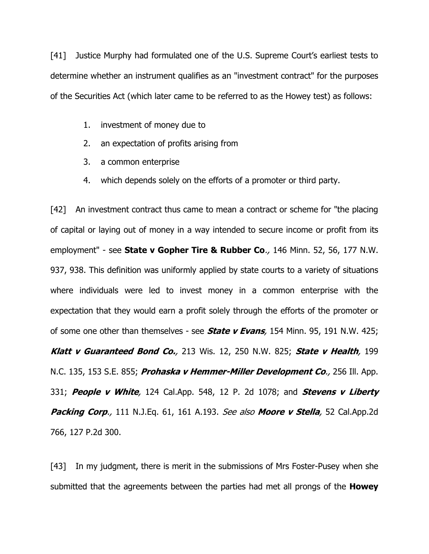[41] Justice Murphy had formulated one of the U.S. Supreme Court's earliest tests to determine whether an instrument qualifies as an "investment contract" for the purposes of the Securities Act (which later came to be referred to as the Howey test) as follows:

- 1. investment of money due to
- 2. an expectation of profits arising from
- 3. a common enterprise
- 4. which depends solely on the efforts of a promoter or third party.

[42] An investment contract thus came to mean a contract or scheme for "the placing" of capital or laying out of money in a way intended to secure income or profit from its employment" - see State v Gopher Tire & Rubber Co., 146 Minn. 52, 56, 177 N.W. 937, 938. This definition was uniformly applied by state courts to a variety of situations where individuals were led to invest money in a common enterprise with the expectation that they would earn a profit solely through the efforts of the promoter or of some one other than themselves - see **State v Evans**, 154 Minn. 95, 191 N.W. 425; Klatt v Guaranteed Bond Co., 213 Wis. 12, 250 N.W. 825; State v Health, 199 N.C. 135, 153 S.E. 855; *Prohaska v Hemmer-Miller Development Co.,* 256 Ill. App. 331; **People v White**, 124 Cal.App. 548, 12 P. 2d 1078; and **Stevens v Liberty** Packing Corp., 111 N.J.Eq. 61, 161 A.193. See also Moore v Stella, 52 Cal.App.2d 766, 127 P.2d 300.

[43] In my judgment, there is merit in the submissions of Mrs Foster-Pusey when she submitted that the agreements between the parties had met all prongs of the **Howey**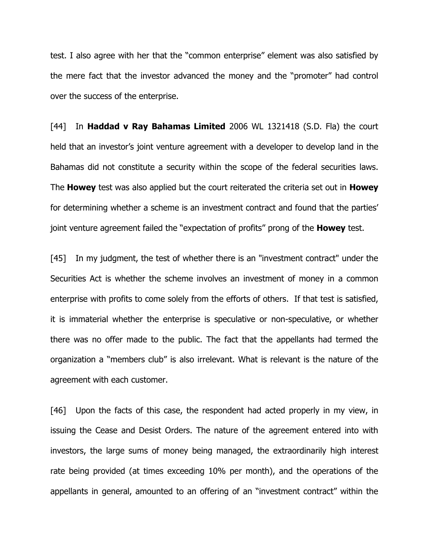test. I also agree with her that the "common enterprise" element was also satisfied by the mere fact that the investor advanced the money and the "promoter" had control over the success of the enterprise.

[44] In Haddad v Ray Bahamas Limited 2006 WL 1321418 (S.D. Fla) the court held that an investor's joint venture agreement with a developer to develop land in the Bahamas did not constitute a security within the scope of the federal securities laws. The **Howey** test was also applied but the court reiterated the criteria set out in **Howey** for determining whether a scheme is an investment contract and found that the parties' joint venture agreement failed the "expectation of profits" prong of the **Howey** test.

[45] In my judgment, the test of whether there is an "investment contract" under the Securities Act is whether the scheme involves an investment of money in a common enterprise with profits to come solely from the efforts of others. If that test is satisfied, it is immaterial whether the enterprise is speculative or non-speculative, or whether there was no offer made to the public. The fact that the appellants had termed the organization a "members club" is also irrelevant. What is relevant is the nature of the agreement with each customer.

[46] Upon the facts of this case, the respondent had acted properly in my view, in issuing the Cease and Desist Orders. The nature of the agreement entered into with investors, the large sums of money being managed, the extraordinarily high interest rate being provided (at times exceeding 10% per month), and the operations of the appellants in general, amounted to an offering of an "investment contract" within the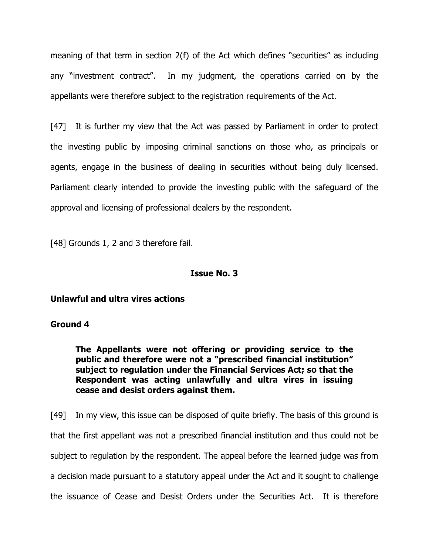meaning of that term in section 2(f) of the Act which defines "securities" as including any "investment contract". In my judgment, the operations carried on by the appellants were therefore subject to the registration requirements of the Act.

[47] It is further my view that the Act was passed by Parliament in order to protect the investing public by imposing criminal sanctions on those who, as principals or agents, engage in the business of dealing in securities without being duly licensed. Parliament clearly intended to provide the investing public with the safeguard of the approval and licensing of professional dealers by the respondent.

[48] Grounds 1, 2 and 3 therefore fail.

### Issue No. 3

## Unlawful and ultra vires actions

## Ground 4

The Appellants were not offering or providing service to the public and therefore were not a "prescribed financial institution" subject to regulation under the Financial Services Act; so that the Respondent was acting unlawfully and ultra vires in issuing cease and desist orders against them.

[49] In my view, this issue can be disposed of quite briefly. The basis of this ground is that the first appellant was not a prescribed financial institution and thus could not be subject to regulation by the respondent. The appeal before the learned judge was from a decision made pursuant to a statutory appeal under the Act and it sought to challenge the issuance of Cease and Desist Orders under the Securities Act. It is therefore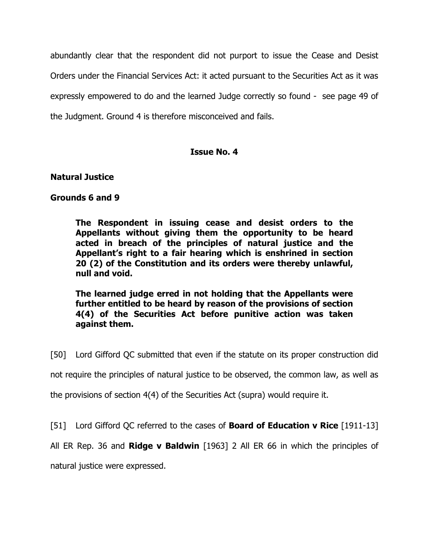abundantly clear that the respondent did not purport to issue the Cease and Desist Orders under the Financial Services Act: it acted pursuant to the Securities Act as it was expressly empowered to do and the learned Judge correctly so found - see page 49 of the Judgment. Ground 4 is therefore misconceived and fails.

# Issue No. 4

## Natural Justice

# Grounds 6 and 9

The Respondent in issuing cease and desist orders to the Appellants without giving them the opportunity to be heard acted in breach of the principles of natural justice and the Appellant's right to a fair hearing which is enshrined in section 20 (2) of the Constitution and its orders were thereby unlawful, null and void.

The learned judge erred in not holding that the Appellants were further entitled to be heard by reason of the provisions of section 4(4) of the Securities Act before punitive action was taken against them.

[50] Lord Gifford QC submitted that even if the statute on its proper construction did

not require the principles of natural justice to be observed, the common law, as well as

the provisions of section 4(4) of the Securities Act (supra) would require it.

[51] Lord Gifford QC referred to the cases of **Board of Education v Rice** [1911-13]

All ER Rep. 36 and **Ridge v Baldwin** [1963] 2 All ER 66 in which the principles of

natural justice were expressed.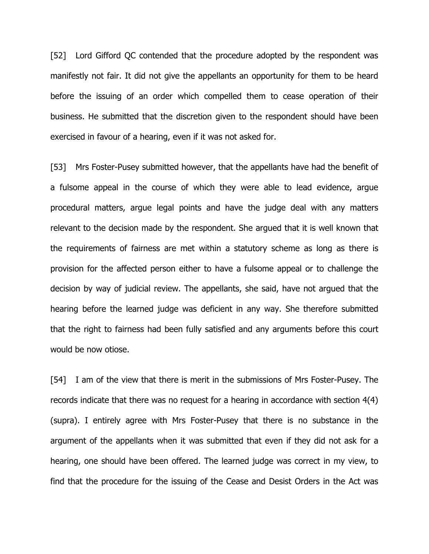[52] Lord Gifford QC contended that the procedure adopted by the respondent was manifestly not fair. It did not give the appellants an opportunity for them to be heard before the issuing of an order which compelled them to cease operation of their business. He submitted that the discretion given to the respondent should have been exercised in favour of a hearing, even if it was not asked for.

[53] Mrs Foster-Pusey submitted however, that the appellants have had the benefit of a fulsome appeal in the course of which they were able to lead evidence, argue procedural matters, argue legal points and have the judge deal with any matters relevant to the decision made by the respondent. She argued that it is well known that the requirements of fairness are met within a statutory scheme as long as there is provision for the affected person either to have a fulsome appeal or to challenge the decision by way of judicial review. The appellants, she said, have not argued that the hearing before the learned judge was deficient in any way. She therefore submitted that the right to fairness had been fully satisfied and any arguments before this court would be now otiose.

[54] I am of the view that there is merit in the submissions of Mrs Foster-Pusey. The records indicate that there was no request for a hearing in accordance with section 4(4) (supra). I entirely agree with Mrs Foster-Pusey that there is no substance in the argument of the appellants when it was submitted that even if they did not ask for a hearing, one should have been offered. The learned judge was correct in my view, to find that the procedure for the issuing of the Cease and Desist Orders in the Act was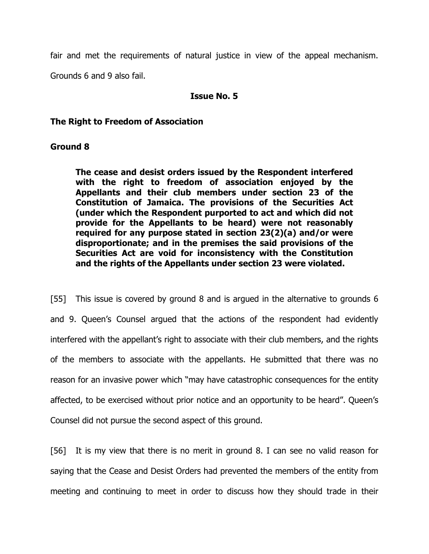fair and met the requirements of natural justice in view of the appeal mechanism.

Grounds 6 and 9 also fail.

### Issue No. 5

### The Right to Freedom of Association

### Ground 8

The cease and desist orders issued by the Respondent interfered with the right to freedom of association enjoyed by the Appellants and their club members under section 23 of the Constitution of Jamaica. The provisions of the Securities Act (under which the Respondent purported to act and which did not provide for the Appellants to be heard) were not reasonably required for any purpose stated in section 23(2)(a) and/or were disproportionate; and in the premises the said provisions of the Securities Act are void for inconsistency with the Constitution and the rights of the Appellants under section 23 were violated.

[55] This issue is covered by ground 8 and is argued in the alternative to grounds 6 and 9. Queen's Counsel argued that the actions of the respondent had evidently interfered with the appellant's right to associate with their club members, and the rights of the members to associate with the appellants. He submitted that there was no reason for an invasive power which "may have catastrophic consequences for the entity affected, to be exercised without prior notice and an opportunity to be heard". Queen's Counsel did not pursue the second aspect of this ground.

[56] It is my view that there is no merit in ground 8. I can see no valid reason for saying that the Cease and Desist Orders had prevented the members of the entity from meeting and continuing to meet in order to discuss how they should trade in their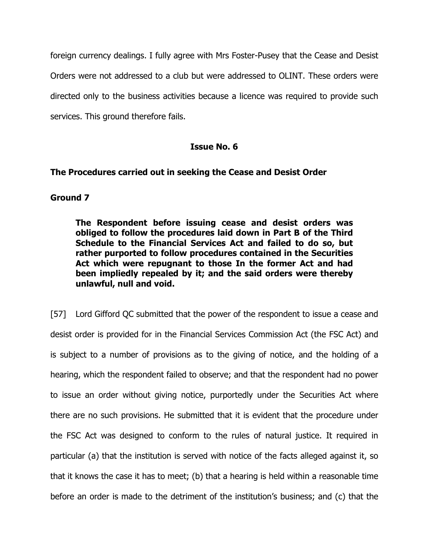foreign currency dealings. I fully agree with Mrs Foster-Pusey that the Cease and Desist Orders were not addressed to a club but were addressed to OLINT. These orders were directed only to the business activities because a licence was required to provide such services. This ground therefore fails.

# Issue No. 6

# The Procedures carried out in seeking the Cease and Desist Order

# Ground 7

The Respondent before issuing cease and desist orders was obliged to follow the procedures laid down in Part B of the Third Schedule to the Financial Services Act and failed to do so, but rather purported to follow procedures contained in the Securities Act which were repugnant to those In the former Act and had been impliedly repealed by it; and the said orders were thereby unlawful, null and void.

[57] Lord Gifford QC submitted that the power of the respondent to issue a cease and desist order is provided for in the Financial Services Commission Act (the FSC Act) and is subject to a number of provisions as to the giving of notice, and the holding of a hearing, which the respondent failed to observe; and that the respondent had no power to issue an order without giving notice, purportedly under the Securities Act where there are no such provisions. He submitted that it is evident that the procedure under the FSC Act was designed to conform to the rules of natural justice. It required in particular (a) that the institution is served with notice of the facts alleged against it, so that it knows the case it has to meet; (b) that a hearing is held within a reasonable time before an order is made to the detriment of the institution's business; and (c) that the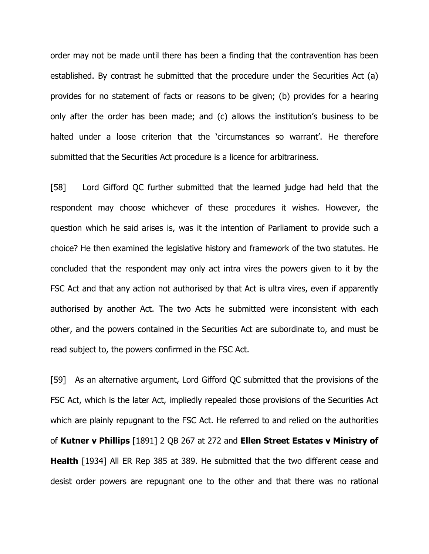order may not be made until there has been a finding that the contravention has been established. By contrast he submitted that the procedure under the Securities Act (a) provides for no statement of facts or reasons to be given; (b) provides for a hearing only after the order has been made; and (c) allows the institution's business to be halted under a loose criterion that the 'circumstances so warrant'. He therefore submitted that the Securities Act procedure is a licence for arbitrariness.

[58] Lord Gifford QC further submitted that the learned judge had held that the respondent may choose whichever of these procedures it wishes. However, the question which he said arises is, was it the intention of Parliament to provide such a choice? He then examined the legislative history and framework of the two statutes. He concluded that the respondent may only act intra vires the powers given to it by the FSC Act and that any action not authorised by that Act is ultra vires, even if apparently authorised by another Act. The two Acts he submitted were inconsistent with each other, and the powers contained in the Securities Act are subordinate to, and must be read subject to, the powers confirmed in the FSC Act.

[59] As an alternative argument, Lord Gifford QC submitted that the provisions of the FSC Act, which is the later Act, impliedly repealed those provisions of the Securities Act which are plainly repugnant to the FSC Act. He referred to and relied on the authorities of Kutner v Phillips [1891] 2 QB 267 at 272 and Ellen Street Estates v Ministry of **Health** [1934] All ER Rep 385 at 389. He submitted that the two different cease and desist order powers are repugnant one to the other and that there was no rational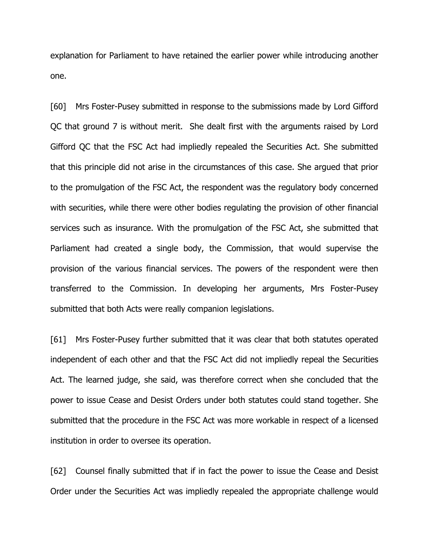explanation for Parliament to have retained the earlier power while introducing another one.

[60] Mrs Foster-Pusey submitted in response to the submissions made by Lord Gifford QC that ground 7 is without merit. She dealt first with the arguments raised by Lord Gifford QC that the FSC Act had impliedly repealed the Securities Act. She submitted that this principle did not arise in the circumstances of this case. She argued that prior to the promulgation of the FSC Act, the respondent was the regulatory body concerned with securities, while there were other bodies regulating the provision of other financial services such as insurance. With the promulgation of the FSC Act, she submitted that Parliament had created a single body, the Commission, that would supervise the provision of the various financial services. The powers of the respondent were then transferred to the Commission. In developing her arguments, Mrs Foster-Pusey submitted that both Acts were really companion legislations.

[61] Mrs Foster-Pusey further submitted that it was clear that both statutes operated independent of each other and that the FSC Act did not impliedly repeal the Securities Act. The learned judge, she said, was therefore correct when she concluded that the power to issue Cease and Desist Orders under both statutes could stand together. She submitted that the procedure in the FSC Act was more workable in respect of a licensed institution in order to oversee its operation.

[62] Counsel finally submitted that if in fact the power to issue the Cease and Desist Order under the Securities Act was impliedly repealed the appropriate challenge would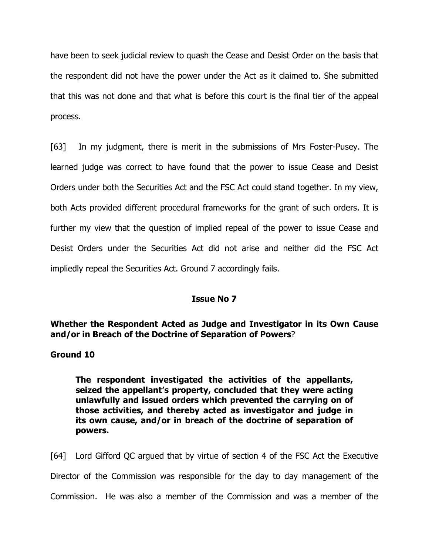have been to seek judicial review to quash the Cease and Desist Order on the basis that the respondent did not have the power under the Act as it claimed to. She submitted that this was not done and that what is before this court is the final tier of the appeal process.

[63] In my judgment, there is merit in the submissions of Mrs Foster-Pusey. The learned judge was correct to have found that the power to issue Cease and Desist Orders under both the Securities Act and the FSC Act could stand together. In my view, both Acts provided different procedural frameworks for the grant of such orders. It is further my view that the question of implied repeal of the power to issue Cease and Desist Orders under the Securities Act did not arise and neither did the FSC Act impliedly repeal the Securities Act. Ground 7 accordingly fails.

## Issue No 7

Whether the Respondent Acted as Judge and Investigator in its Own Cause and/or in Breach of the Doctrine of Separation of Powers?

Ground 10

The respondent investigated the activities of the appellants, seized the appellant's property, concluded that they were acting unlawfully and issued orders which prevented the carrying on of those activities, and thereby acted as investigator and judge in its own cause, and/or in breach of the doctrine of separation of powers.

[64] Lord Gifford QC argued that by virtue of section 4 of the FSC Act the Executive Director of the Commission was responsible for the day to day management of the Commission. He was also a member of the Commission and was a member of the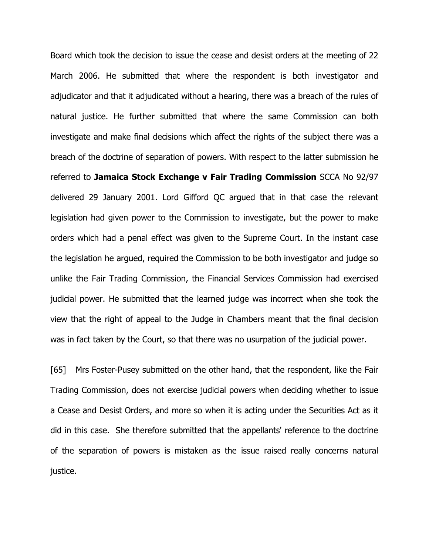Board which took the decision to issue the cease and desist orders at the meeting of 22 March 2006. He submitted that where the respondent is both investigator and adjudicator and that it adjudicated without a hearing, there was a breach of the rules of natural justice. He further submitted that where the same Commission can both investigate and make final decisions which affect the rights of the subject there was a breach of the doctrine of separation of powers. With respect to the latter submission he referred to Jamaica Stock Exchange v Fair Trading Commission SCCA No 92/97 delivered 29 January 2001. Lord Gifford QC argued that in that case the relevant legislation had given power to the Commission to investigate, but the power to make orders which had a penal effect was given to the Supreme Court. In the instant case the legislation he argued, required the Commission to be both investigator and judge so unlike the Fair Trading Commission, the Financial Services Commission had exercised judicial power. He submitted that the learned judge was incorrect when she took the view that the right of appeal to the Judge in Chambers meant that the final decision was in fact taken by the Court, so that there was no usurpation of the judicial power.

[65] Mrs Foster-Pusey submitted on the other hand, that the respondent, like the Fair Trading Commission, does not exercise judicial powers when deciding whether to issue a Cease and Desist Orders, and more so when it is acting under the Securities Act as it did in this case. She therefore submitted that the appellants' reference to the doctrine of the separation of powers is mistaken as the issue raised really concerns natural justice.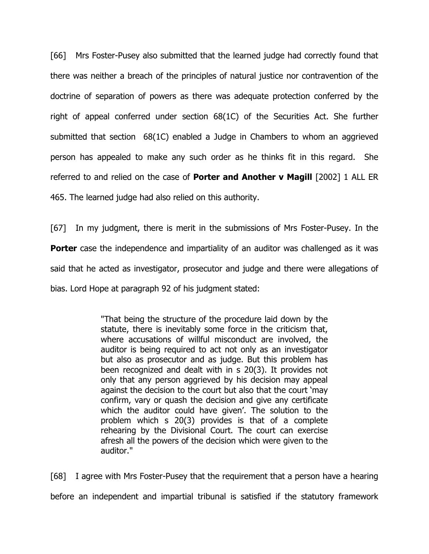[66] Mrs Foster-Pusey also submitted that the learned judge had correctly found that there was neither a breach of the principles of natural justice nor contravention of the doctrine of separation of powers as there was adequate protection conferred by the right of appeal conferred under section 68(1C) of the Securities Act. She further submitted that section  $68(1)$  enabled a Judge in Chambers to whom an aggrieved person has appealed to make any such order as he thinks fit in this regard. She referred to and relied on the case of **Porter and Another v Magill**  $[2002]$  1 ALL ER 465. The learned judge had also relied on this authority.

[67] In my judgment, there is merit in the submissions of Mrs Foster-Pusey. In the **Porter** case the independence and impartiality of an auditor was challenged as it was said that he acted as investigator, prosecutor and judge and there were allegations of bias. Lord Hope at paragraph 92 of his judgment stated:

> "That being the structure of the procedure laid down by the statute, there is inevitably some force in the criticism that, where accusations of willful misconduct are involved, the auditor is being required to act not only as an investigator but also as prosecutor and as judge. But this problem has been recognized and dealt with in s 20(3). It provides not only that any person aggrieved by his decision may appeal against the decision to the court but also that the court 'may confirm, vary or quash the decision and give any certificate which the auditor could have given'. The solution to the problem which s 20(3) provides is that of a complete rehearing by the Divisional Court. The court can exercise afresh all the powers of the decision which were given to the auditor."

[68] I agree with Mrs Foster-Pusey that the requirement that a person have a hearing before an independent and impartial tribunal is satisfied if the statutory framework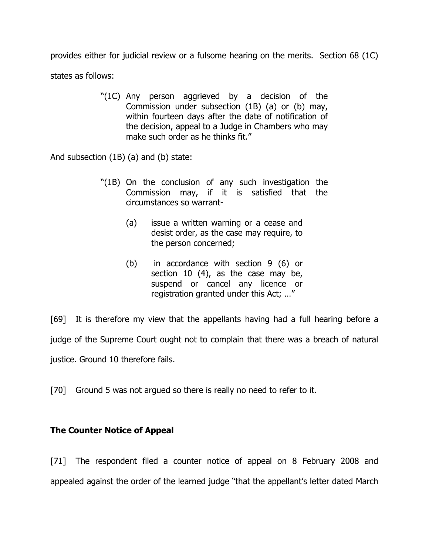provides either for judicial review or a fulsome hearing on the merits. Section 68 (1C) states as follows:

> "(1C) Any person aggrieved by a decision of the Commission under subsection (1B) (a) or (b) may, within fourteen days after the date of notification of the decision, appeal to a Judge in Chambers who may make such order as he thinks fit."

And subsection (1B) (a) and (b) state:

- "(1B) On the conclusion of any such investigation the Commission may, if it is satisfied that the circumstances so warrant-
	- (a) issue a written warning or a cease and desist order, as the case may require, to the person concerned;
	- (b) in accordance with section 9 (6) or section 10 (4), as the case may be, suspend or cancel any licence or registration granted under this Act; …"

[69] It is therefore my view that the appellants having had a full hearing before a judge of the Supreme Court ought not to complain that there was a breach of natural justice. Ground 10 therefore fails.

[70] Ground 5 was not argued so there is really no need to refer to it.

# The Counter Notice of Appeal

[71] The respondent filed a counter notice of appeal on 8 February 2008 and appealed against the order of the learned judge "that the appellant's letter dated March